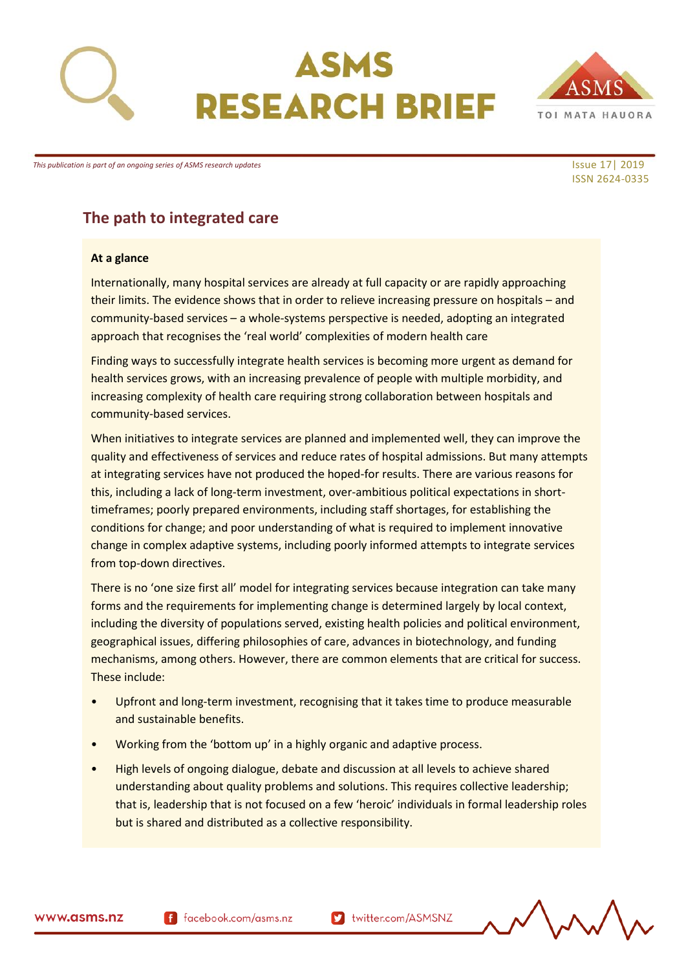

# **SMS RESEARCH BRIEF**



*This publication is part of an ongoing series of ASMS research updates* In the series of ASMS research updates In the series of ASMS research updates In the series of ASMS research updates In the series of ASMS research u

ISSN 2624-0335

## **The path to integrated care**

#### **At a glance**

Internationally, many hospital services are already at full capacity or are rapidly approaching their limits. The evidence shows that in order to relieve increasing pressure on hospitals – and community-based services – a whole-systems perspective is needed, adopting an integrated approach that recognises the 'real world' complexities of modern health care

Finding ways to successfully integrate health services is becoming more urgent as demand for health services grows, with an increasing prevalence of people with multiple morbidity, and increasing complexity of health care requiring strong collaboration between hospitals and community-based services.

When initiatives to integrate services are planned and implemented well, they can improve the quality and effectiveness of services and reduce rates of hospital admissions. But many attempts at integrating services have not produced the hoped-for results. There are various reasons for this, including a lack of long-term investment, over-ambitious political expectations in shorttimeframes; poorly prepared environments, including staff shortages, for establishing the conditions for change; and poor understanding of what is required to implement innovative change in complex adaptive systems, including poorly informed attempts to integrate services from top-down directives.

There is no 'one size first all' model for integrating services because integration can take many forms and the requirements for implementing change is determined largely by local context, including the diversity of populations served, existing health policies and political environment, geographical issues, differing philosophies of care, advances in biotechnology, and funding mechanisms, among others. However, there are common elements that are critical for success. These include:

- Upfront and long-term investment, recognising that it takes time to produce measurable and sustainable benefits.
- Working from the 'bottom up' in a highly organic and adaptive process.
- High levels of ongoing dialogue, debate and discussion at all levels to achieve shared understanding about quality problems and solutions. This requires collective leadership; that is, leadership that is not focused on a few 'heroic' individuals in formal leadership roles but is shared and distributed as a collective responsibility.

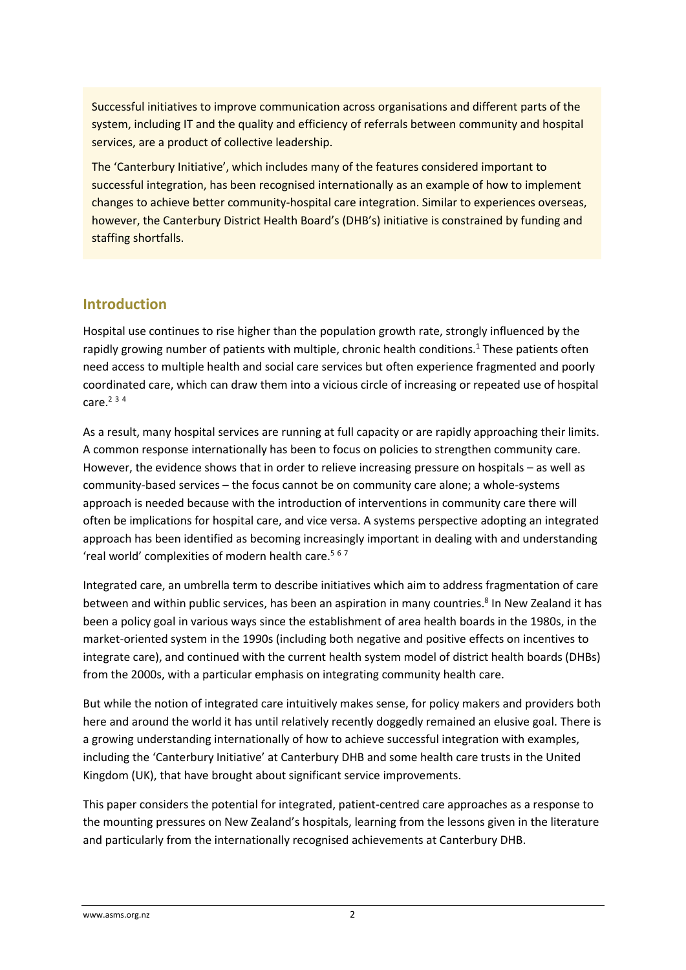Successful initiatives to improve communication across organisations and different parts of the system, including IT and the quality and efficiency of referrals between community and hospital services, are a product of collective leadership.

The 'Canterbury Initiative', which includes many of the features considered important to successful integration, has been recognised internationally as an example of how to implement changes to achieve better community-hospital care integration. Similar to experiences overseas, however, the Canterbury District Health Board's (DHB's) initiative is constrained by funding and staffing shortfalls.

#### **Introduction**

Hospital use continues to rise higher than the population growth rate, strongly influenced by the rapidly growing number of patients with multiple, chronic health conditions.<sup>1</sup> These patients often need access to multiple health and social care services but often experience fragmented and poorly coordinated care, which can draw them into a vicious circle of increasing or repeated use of hospital care. $234$ 

As a result, many hospital services are running at full capacity or are rapidly approaching their limits. A common response internationally has been to focus on policies to strengthen community care. However, the evidence shows that in order to relieve increasing pressure on hospitals – as well as community-based services – the focus cannot be on community care alone; a whole-systems approach is needed because with the introduction of interventions in community care there will often be implications for hospital care, and vice versa. A systems perspective adopting an integrated approach has been identified as becoming increasingly important in dealing with and understanding 'real world' complexities of modern health care.<sup>5</sup> <sup>6</sup> <sup>7</sup>

Integrated care, an umbrella term to describe initiatives which aim to address fragmentation of care between and within public services, has been an aspiration in many countries.<sup>8</sup> In New Zealand it has been a policy goal in various ways since the establishment of area health boards in the 1980s, in the market-oriented system in the 1990s (including both negative and positive effects on incentives to integrate care), and continued with the current health system model of district health boards (DHBs) from the 2000s, with a particular emphasis on integrating community health care.

But while the notion of integrated care intuitively makes sense, for policy makers and providers both here and around the world it has until relatively recently doggedly remained an elusive goal. There is a growing understanding internationally of how to achieve successful integration with examples, including the 'Canterbury Initiative' at Canterbury DHB and some health care trusts in the United Kingdom (UK), that have brought about significant service improvements.

This paper considers the potential for integrated, patient-centred care approaches as a response to the mounting pressures on New Zealand's hospitals, learning from the lessons given in the literature and particularly from the internationally recognised achievements at Canterbury DHB.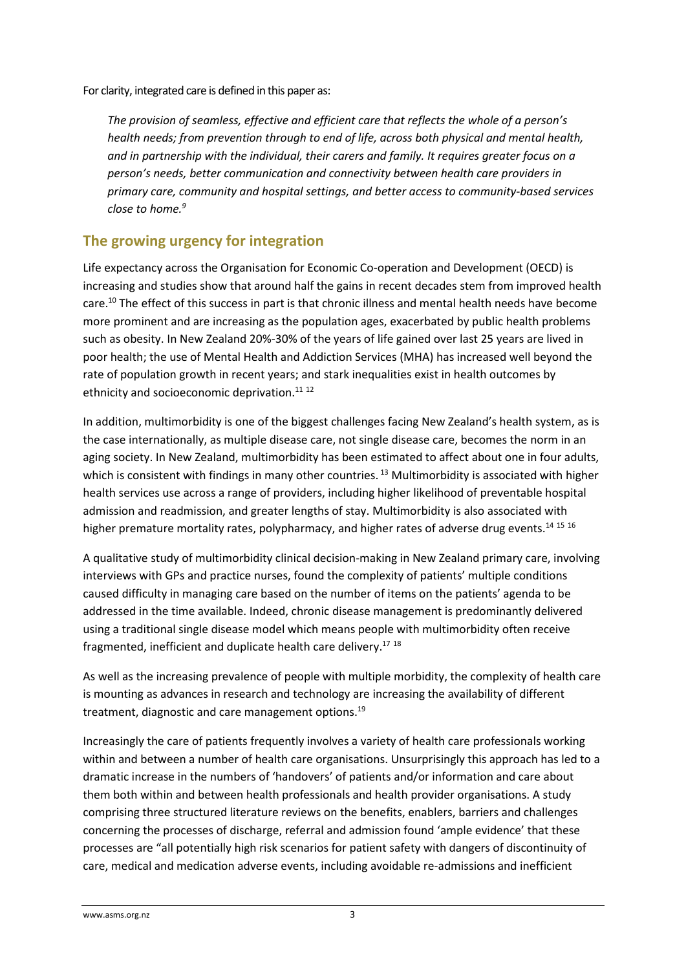For clarity, integrated care is defined in this paper as:

*The provision of seamless, effective and efficient care that reflects the whole of a person's health needs; from prevention through to end of life, across both physical and mental health, and in partnership with the individual, their carers and family. It requires greater focus on a person's needs, better communication and connectivity between health care providers in primary care, community and hospital settings, and better access to community-based services close to home.<sup>9</sup>*

#### **The growing urgency for integration**

Life expectancy across the Organisation for Economic Co-operation and Development (OECD) is increasing and studies show that around half the gains in recent decades stem from improved health care.<sup>10</sup> The effect of this success in part is that chronic illness and mental health needs have become more prominent and are increasing as the population ages, exacerbated by public health problems such as obesity. In New Zealand 20%-30% of the years of life gained over last 25 years are lived in poor health; the use of Mental Health and Addiction Services (MHA) has increased well beyond the rate of population growth in recent years; and stark inequalities exist in health outcomes by ethnicity and socioeconomic deprivation.<sup>11 12</sup>

In addition, multimorbidity is one of the biggest challenges facing New Zealand's health system, as is the case internationally, as multiple disease care, not single disease care, becomes the norm in an aging society. In New Zealand, multimorbidity has been estimated to affect about one in four adults, which is consistent with findings in many other countries.<sup>13</sup> Multimorbidity is associated with higher health services use across a range of providers, including higher likelihood of preventable hospital admission and readmission, and greater lengths of stay. Multimorbidity is also associated with higher premature mortality rates, polypharmacy, and higher rates of adverse drug events.<sup>14 15 16</sup>

A qualitative study of multimorbidity clinical decision-making in New Zealand primary care, involving interviews with GPs and practice nurses, found the complexity of patients' multiple conditions caused difficulty in managing care based on the number of items on the patients' agenda to be addressed in the time available. Indeed, chronic disease management is predominantly delivered using a traditional single disease model which means people with multimorbidity often receive fragmented, inefficient and duplicate health care delivery.<sup>17 18</sup>

As well as the increasing prevalence of people with multiple morbidity, the complexity of health care is mounting as advances in research and technology are increasing the availability of different treatment, diagnostic and care management options.<sup>19</sup>

Increasingly the care of patients frequently involves a variety of health care professionals working within and between a number of health care organisations. Unsurprisingly this approach has led to a dramatic increase in the numbers of 'handovers' of patients and/or information and care about them both within and between health professionals and health provider organisations. A study comprising three structured literature reviews on the benefits, enablers, barriers and challenges concerning the processes of discharge, referral and admission found 'ample evidence' that these processes are "all potentially high risk scenarios for patient safety with dangers of discontinuity of care, medical and medication adverse events, including avoidable re-admissions and inefficient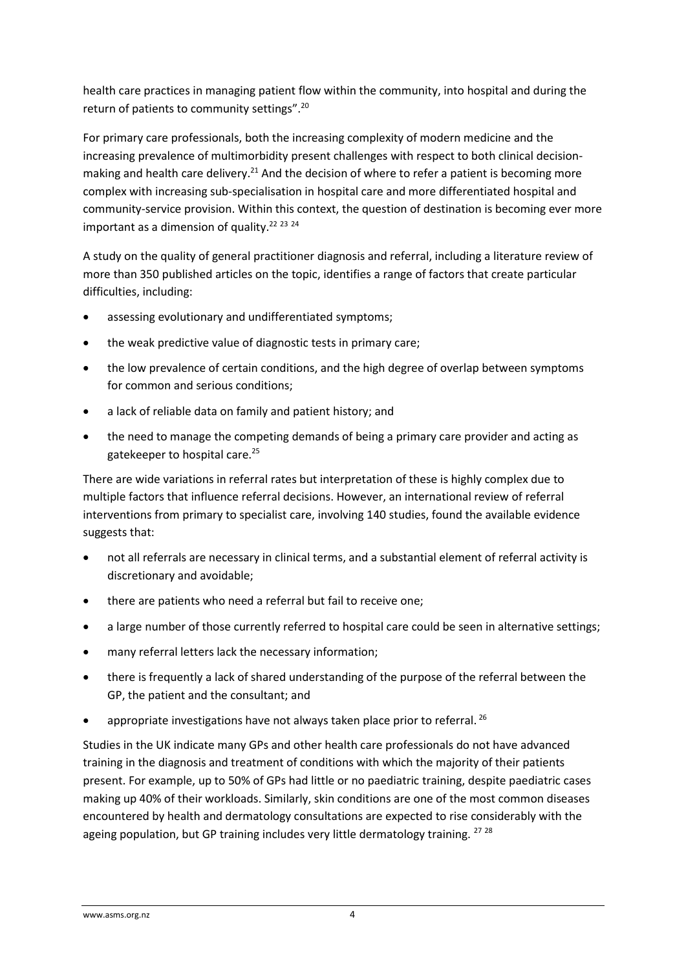health care practices in managing patient flow within the community, into hospital and during the return of patients to community settings".<sup>20</sup>

For primary care professionals, both the increasing complexity of modern medicine and the increasing prevalence of multimorbidity present challenges with respect to both clinical decisionmaking and health care delivery.<sup>21</sup> And the decision of where to refer a patient is becoming more complex with increasing sub-specialisation in hospital care and more differentiated hospital and community-service provision. Within this context, the question of destination is becoming ever more important as a dimension of quality.<sup>22</sup>  $23$   $24$ 

A study on the quality of general practitioner diagnosis and referral, including a literature review of more than 350 published articles on the topic, identifies a range of factors that create particular difficulties, including:

- assessing evolutionary and undifferentiated symptoms;
- the weak predictive value of diagnostic tests in primary care;
- the low prevalence of certain conditions, and the high degree of overlap between symptoms for common and serious conditions;
- a lack of reliable data on family and patient history; and
- the need to manage the competing demands of being a primary care provider and acting as gatekeeper to hospital care.<sup>25</sup>

There are wide variations in referral rates but interpretation of these is highly complex due to multiple factors that influence referral decisions. However, an international review of referral interventions from primary to specialist care, involving 140 studies, found the available evidence suggests that:

- not all referrals are necessary in clinical terms, and a substantial element of referral activity is discretionary and avoidable;
- there are patients who need a referral but fail to receive one;
- a large number of those currently referred to hospital care could be seen in alternative settings;
- many referral letters lack the necessary information;
- there is frequently a lack of shared understanding of the purpose of the referral between the GP, the patient and the consultant; and
- appropriate investigations have not always taken place prior to referral. <sup>26</sup>

Studies in the UK indicate many GPs and other health care professionals do not have advanced training in the diagnosis and treatment of conditions with which the majority of their patients present. For example, up to 50% of GPs had little or no paediatric training, despite paediatric cases making up 40% of their workloads. Similarly, skin conditions are one of the most common diseases encountered by health and dermatology consultations are expected to rise considerably with the ageing population, but GP training includes very little dermatology training. <sup>27 28</sup>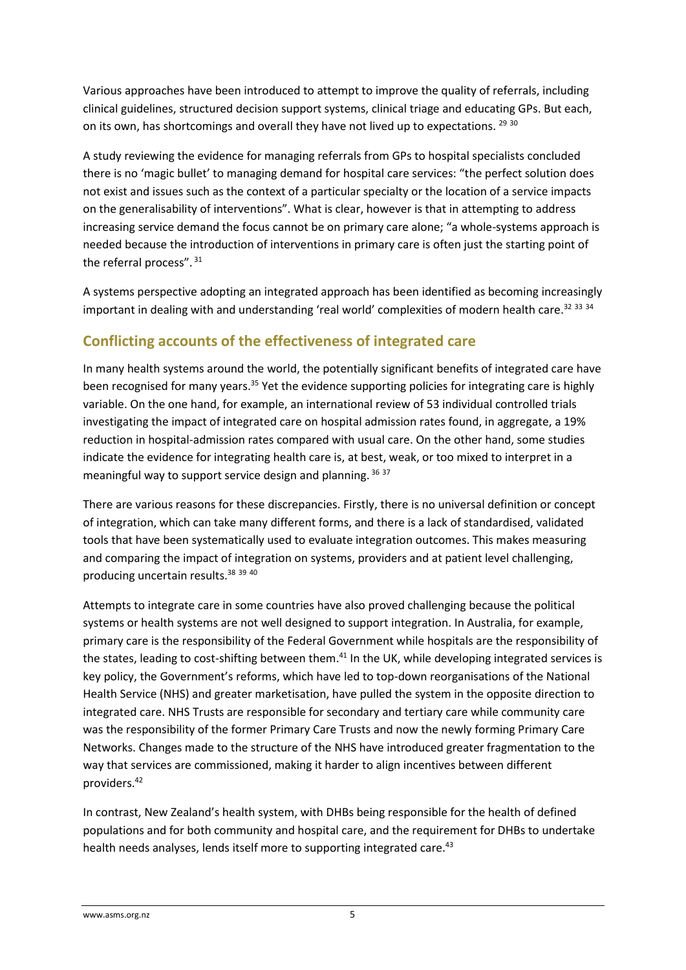Various approaches have been introduced to attempt to improve the quality of referrals, including clinical guidelines, structured decision support systems, clinical triage and educating GPs. But each, on its own, has shortcomings and overall they have not lived up to expectations. 29 30

A study reviewing the evidence for managing referrals from GPs to hospital specialists concluded there is no 'magic bullet' to managing demand for hospital care services: "the perfect solution does not exist and issues such as the context of a particular specialty or the location of a service impacts on the generalisability of interventions". What is clear, however is that in attempting to address increasing service demand the focus cannot be on primary care alone; "a whole-systems approach is needed because the introduction of interventions in primary care is often just the starting point of the referral process". 31

A systems perspective adopting an integrated approach has been identified as becoming increasingly important in dealing with and understanding 'real world' complexities of modern health care.<sup>32 33 34</sup>

### **Conflicting accounts of the effectiveness of integrated care**

In many health systems around the world, the potentially significant benefits of integrated care have been recognised for many years.<sup>35</sup> Yet the evidence supporting policies for integrating care is highly variable. On the one hand, for example, an international review of 53 individual controlled trials investigating the impact of integrated care on hospital admission rates found, in aggregate, a 19% reduction in hospital-admission rates compared with usual care. On the other hand, some studies indicate the evidence for integrating health care is, at best, weak, or too mixed to interpret in a meaningful way to support service design and planning. <sup>36</sup> <sup>37</sup>

There are various reasons for these discrepancies. Firstly, there is no universal definition or concept of integration, which can take many different forms, and there is a lack of standardised, validated tools that have been systematically used to evaluate integration outcomes. This makes measuring and comparing the impact of integration on systems, providers and at patient level challenging, producing uncertain results.<sup>38</sup> <sup>39</sup> <sup>40</sup>

Attempts to integrate care in some countries have also proved challenging because the political systems or health systems are not well designed to support integration. In Australia, for example, primary care is the responsibility of the Federal Government while hospitals are the responsibility of the states, leading to cost-shifting between them.<sup>41</sup> In the UK, while developing integrated services is key policy, the Government's reforms, which have led to top-down reorganisations of the National Health Service (NHS) and greater marketisation, have pulled the system in the opposite direction to integrated care. NHS Trusts are responsible for secondary and tertiary care while community care was the responsibility of the former Primary Care Trusts and now the newly forming Primary Care Networks. Changes made to the structure of the NHS have introduced greater fragmentation to the way that services are commissioned, making it harder to align incentives between different providers.<sup>42</sup>

In contrast, New Zealand's health system, with DHBs being responsible for the health of defined populations and for both community and hospital care, and the requirement for DHBs to undertake health needs analyses, lends itself more to supporting integrated care.<sup>43</sup>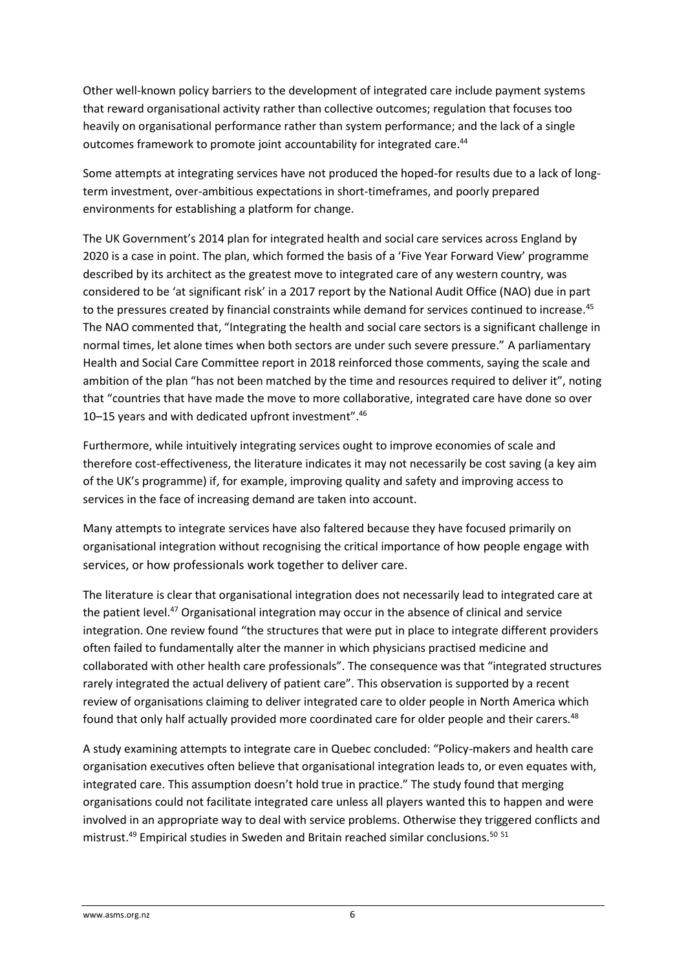Other well-known policy barriers to the development of integrated care include payment systems that reward organisational activity rather than collective outcomes; regulation that focuses too heavily on organisational performance rather than system performance; and the lack of a single outcomes framework to promote joint accountability for integrated care.<sup>44</sup>

Some attempts at integrating services have not produced the hoped-for results due to a lack of longterm investment, over-ambitious expectations in short-timeframes, and poorly prepared environments for establishing a platform for change.

The UK Government's 2014 plan for integrated health and social care services across England by 2020 is a case in point. The plan, which formed the basis of a 'Five Year Forward View' programme described by its architect as the greatest move to integrated care of any western country, was considered to be 'at significant risk' in a 2017 report by the National Audit Office (NAO) due in part to the pressures created by financial constraints while demand for services continued to increase.<sup>45</sup> The NAO commented that, "Integrating the health and social care sectors is a significant challenge in normal times, let alone times when both sectors are under such severe pressure." A parliamentary Health and Social Care Committee report in 2018 reinforced those comments, saying the scale and ambition of the plan "has not been matched by the time and resources required to deliver it", noting that "countries that have made the move to more collaborative, integrated care have done so over 10–15 years and with dedicated upfront investment".<sup>46</sup>

Furthermore, while intuitively integrating services ought to improve economies of scale and therefore cost-effectiveness, the literature indicates it may not necessarily be cost saving (a key aim of the UK's programme) if, for example, improving quality and safety and improving access to services in the face of increasing demand are taken into account.

Many attempts to integrate services have also faltered because they have focused primarily on organisational integration without recognising the critical importance of how people engage with services, or how professionals work together to deliver care.

The literature is clear that organisational integration does not necessarily lead to integrated care at the patient level.<sup>47</sup> Organisational integration may occur in the absence of clinical and service integration. One review found "the structures that were put in place to integrate different providers often failed to fundamentally alter the manner in which physicians practised medicine and collaborated with other health care professionals". The consequence was that "integrated structures rarely integrated the actual delivery of patient care". This observation is supported by a recent review of organisations claiming to deliver integrated care to older people in North America which found that only half actually provided more coordinated care for older people and their carers.<sup>48</sup>

A study examining attempts to integrate care in Quebec concluded: "Policy-makers and health care organisation executives often believe that organisational integration leads to, or even equates with, integrated care. This assumption doesn't hold true in practice." The study found that merging organisations could not facilitate integrated care unless all players wanted this to happen and were involved in an appropriate way to deal with service problems. Otherwise they triggered conflicts and mistrust.<sup>49</sup> Empirical studies in Sweden and Britain reached similar conclusions.<sup>50 51</sup>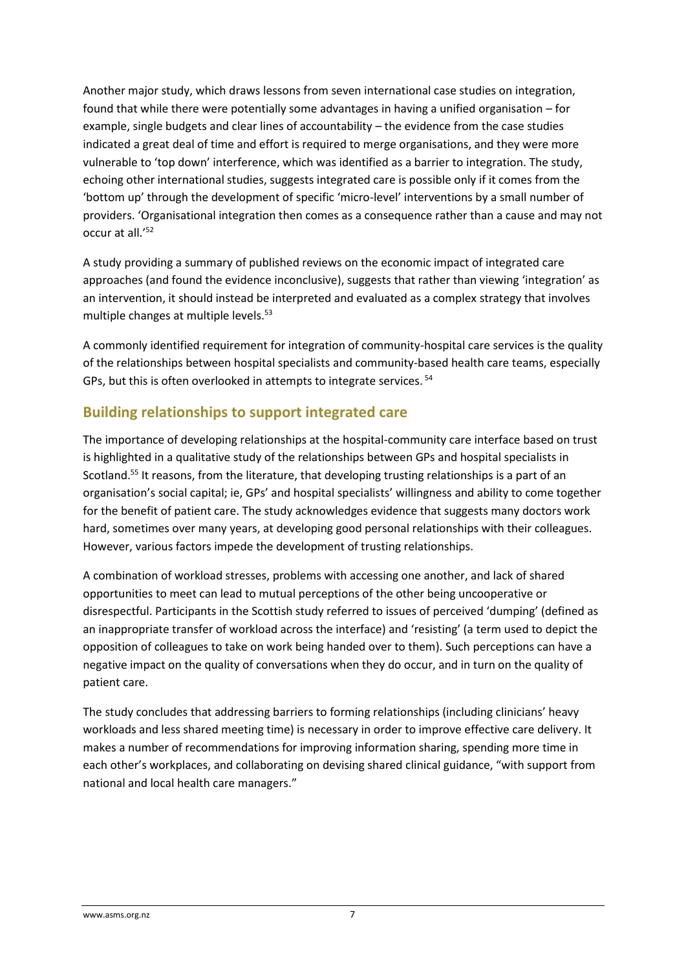Another major study, which draws lessons from seven international case studies on integration, found that while there were potentially some advantages in having a unified organisation – for example, single budgets and clear lines of accountability – the evidence from the case studies indicated a great deal of time and effort is required to merge organisations, and they were more vulnerable to 'top down' interference, which was identified as a barrier to integration. The study, echoing other international studies, suggests integrated care is possible only if it comes from the 'bottom up' through the development of specific 'micro-level' interventions by a small number of providers. 'Organisational integration then comes as a consequence rather than a cause and may not occur at all.'<sup>52</sup>

A study providing a summary of published reviews on the economic impact of integrated care approaches (and found the evidence inconclusive), suggests that rather than viewing 'integration' as an intervention, it should instead be interpreted and evaluated as a complex strategy that involves multiple changes at multiple levels.<sup>53</sup>

A commonly identified requirement for integration of community-hospital care services is the quality of the relationships between hospital specialists and community-based health care teams, especially GPs, but this is often overlooked in attempts to integrate services. <sup>54</sup>

### **Building relationships to support integrated care**

The importance of developing relationships at the hospital-community care interface based on trust is highlighted in a qualitative study of the relationships between GPs and hospital specialists in Scotland.<sup>55</sup> It reasons, from the literature, that developing trusting relationships is a part of an organisation's social capital; ie, GPs' and hospital specialists' willingness and ability to come together for the benefit of patient care. The study acknowledges evidence that suggests many doctors work hard, sometimes over many years, at developing good personal relationships with their colleagues. However, various factors impede the development of trusting relationships.

A combination of workload stresses, problems with accessing one another, and lack of shared opportunities to meet can lead to mutual perceptions of the other being uncooperative or disrespectful. Participants in the Scottish study referred to issues of perceived 'dumping' (defined as an inappropriate transfer of workload across the interface) and 'resisting' (a term used to depict the opposition of colleagues to take on work being handed over to them). Such perceptions can have a negative impact on the quality of conversations when they do occur, and in turn on the quality of patient care.

The study concludes that addressing barriers to forming relationships (including clinicians' heavy workloads and less shared meeting time) is necessary in order to improve effective care delivery. It makes a number of recommendations for improving information sharing, spending more time in each other's workplaces, and collaborating on devising shared clinical guidance, "with support from national and local health care managers."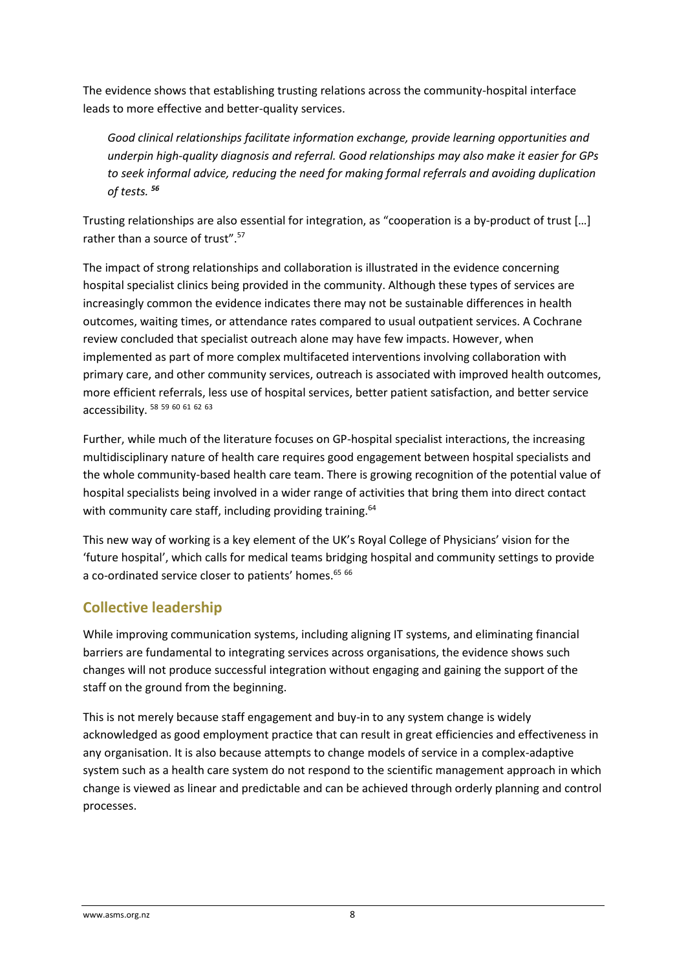The evidence shows that establishing trusting relations across the community-hospital interface leads to more effective and better-quality services.

*Good clinical relationships facilitate information exchange, provide learning opportunities and underpin high-quality diagnosis and referral. Good relationships may also make it easier for GPs to seek informal advice, reducing the need for making formal referrals and avoiding duplication of tests. <sup>56</sup>*

Trusting relationships are also essential for integration, as "cooperation is a by-product of trust […] rather than a source of trust".<sup>57</sup>

The impact of strong relationships and collaboration is illustrated in the evidence concerning hospital specialist clinics being provided in the community. Although these types of services are increasingly common the evidence indicates there may not be sustainable differences in health outcomes, waiting times, or attendance rates compared to usual outpatient services. A Cochrane review concluded that specialist outreach alone may have few impacts. However, when implemented as part of more complex multifaceted interventions involving collaboration with primary care, and other community services, outreach is associated with improved health outcomes, more efficient referrals, less use of hospital services, better patient satisfaction, and better service accessibility. <sup>58</sup> <sup>59</sup> <sup>60</sup> <sup>61</sup> <sup>62</sup> <sup>63</sup>

Further, while much of the literature focuses on GP-hospital specialist interactions, the increasing multidisciplinary nature of health care requires good engagement between hospital specialists and the whole community-based health care team. There is growing recognition of the potential value of hospital specialists being involved in a wider range of activities that bring them into direct contact with community care staff, including providing training.<sup>64</sup>

This new way of working is a key element of the UK's Royal College of Physicians' vision for the 'future hospital', which calls for medical teams bridging hospital and community settings to provide a co-ordinated service closer to patients' homes.<sup>65 66</sup>

#### **Collective leadership**

While improving communication systems, including aligning IT systems, and eliminating financial barriers are fundamental to integrating services across organisations, the evidence shows such changes will not produce successful integration without engaging and gaining the support of the staff on the ground from the beginning.

This is not merely because staff engagement and buy-in to any system change is widely acknowledged as good employment practice that can result in great efficiencies and effectiveness in any organisation. It is also because attempts to change models of service in a complex-adaptive system such as a health care system do not respond to the scientific management approach in which change is viewed as linear and predictable and can be achieved through orderly planning and control processes.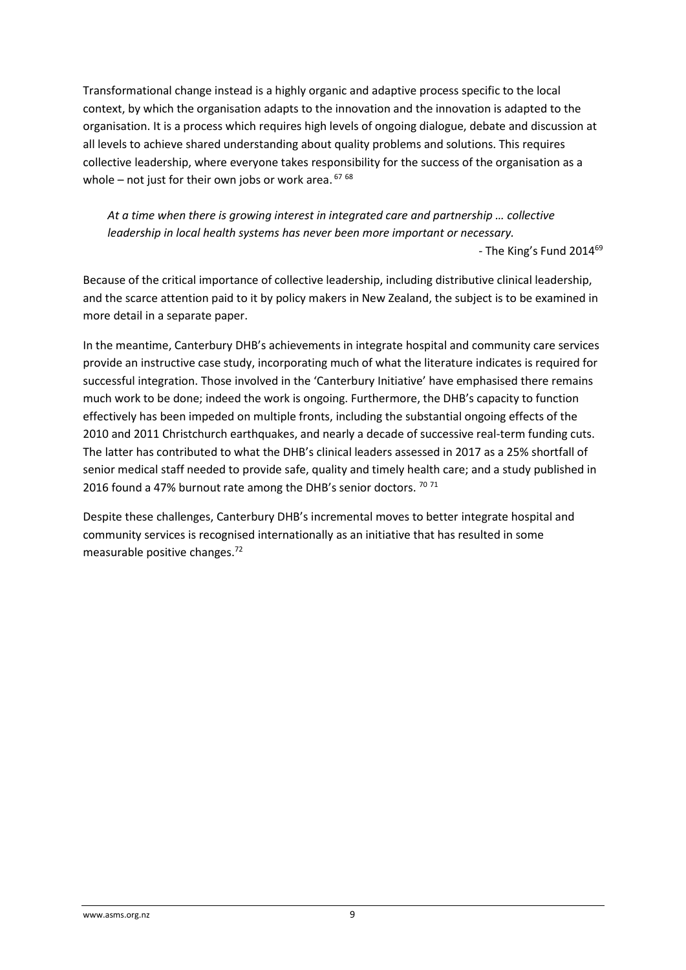Transformational change instead is a highly organic and adaptive process specific to the local context, by which the organisation adapts to the innovation and the innovation is adapted to the organisation. It is a process which requires high levels of ongoing dialogue, debate and discussion at all levels to achieve shared understanding about quality problems and solutions. This requires collective leadership, where everyone takes responsibility for the success of the organisation as a whole – not just for their own jobs or work area.  $6768$ 

*At a time when there is growing interest in integrated care and partnership … collective leadership in local health systems has never been more important or necessary.*

- The King's Fund 2014<sup>69</sup>

Because of the critical importance of collective leadership, including distributive clinical leadership, and the scarce attention paid to it by policy makers in New Zealand, the subject is to be examined in more detail in a separate paper.

In the meantime, Canterbury DHB's achievements in integrate hospital and community care services provide an instructive case study, incorporating much of what the literature indicates is required for successful integration. Those involved in the 'Canterbury Initiative' have emphasised there remains much work to be done; indeed the work is ongoing. Furthermore, the DHB's capacity to function effectively has been impeded on multiple fronts, including the substantial ongoing effects of the 2010 and 2011 Christchurch earthquakes, and nearly a decade of successive real-term funding cuts. The latter has contributed to what the DHB's clinical leaders assessed in 2017 as a 25% shortfall of senior medical staff needed to provide safe, quality and timely health care; and a study published in 2016 found a 47% burnout rate among the DHB's senior doctors.  $7071$ 

Despite these challenges, Canterbury DHB's incremental moves to better integrate hospital and community services is recognised internationally as an initiative that has resulted in some measurable positive changes.72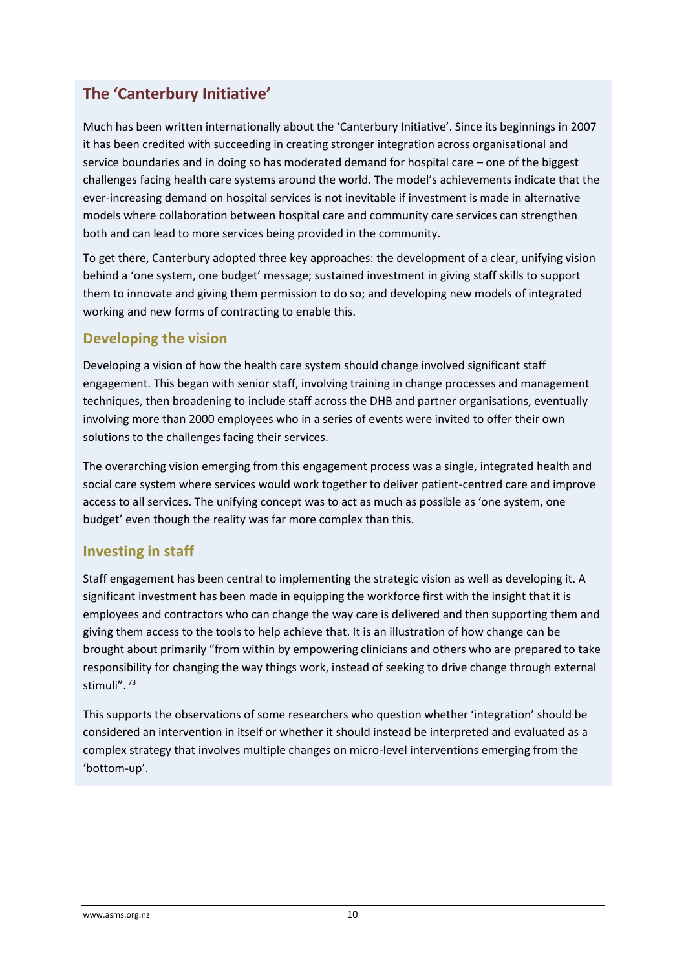## **The 'Canterbury Initiative'**

Much has been written internationally about the 'Canterbury Initiative'. Since its beginnings in 2007 it has been credited with succeeding in creating stronger integration across organisational and service boundaries and in doing so has moderated demand for hospital care – one of the biggest challenges facing health care systems around the world. The model's achievements indicate that the ever-increasing demand on hospital services is not inevitable if investment is made in alternative models where collaboration between hospital care and community care services can strengthen both and can lead to more services being provided in the community.

To get there, Canterbury adopted three key approaches: the development of a clear, unifying vision behind a 'one system, one budget' message; sustained investment in giving staff skills to support them to innovate and giving them permission to do so; and developing new models of integrated working and new forms of contracting to enable this.

#### **Developing the vision**

Developing a vision of how the health care system should change involved significant staff engagement. This began with senior staff, involving training in change processes and management techniques, then broadening to include staff across the DHB and partner organisations, eventually involving more than 2000 employees who in a series of events were invited to offer their own solutions to the challenges facing their services.

The overarching vision emerging from this engagement process was a single, integrated health and social care system where services would work together to deliver patient-centred care and improve access to all services. The unifying concept was to act as much as possible as 'one system, one budget' even though the reality was far more complex than this.

#### **Investing in staff**

Staff engagement has been central to implementing the strategic vision as well as developing it. A significant investment has been made in equipping the workforce first with the insight that it is employees and contractors who can change the way care is delivered and then supporting them and giving them access to the tools to help achieve that. It is an illustration of how change can be brought about primarily "from within by empowering clinicians and others who are prepared to take responsibility for changing the way things work, instead of seeking to drive change through external stimuli". <sup>73</sup>

This supports the observations of some researchers who question whether 'integration' should be considered an intervention in itself or whether it should instead be interpreted and evaluated as a complex strategy that involves multiple changes on micro-level interventions emerging from the 'bottom-up'.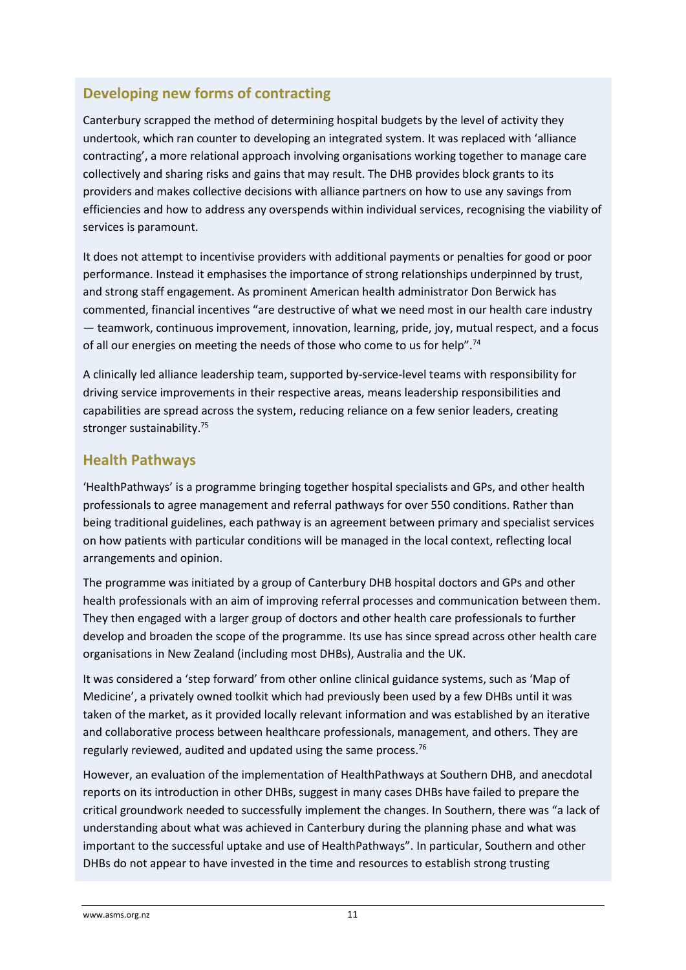## **Developing new forms of contracting**

Canterbury scrapped the method of determining hospital budgets by the level of activity they undertook, which ran counter to developing an integrated system. It was replaced with 'alliance contracting', a more relational approach involving organisations working together to manage care collectively and sharing risks and gains that may result. The DHB provides block grants to its providers and makes collective decisions with alliance partners on how to use any savings from efficiencies and how to address any overspends within individual services, recognising the viability of services is paramount.

It does not attempt to incentivise providers with additional payments or penalties for good or poor performance. Instead it emphasises the importance of strong relationships underpinned by trust, and strong staff engagement. As prominent American health administrator Don Berwick has commented, financial incentives "are destructive of what we need most in our health care industry — teamwork, continuous improvement, innovation, learning, pride, joy, mutual respect, and a focus of all our energies on meeting the needs of those who come to us for help".<sup>74</sup>

A clinically led alliance leadership team, supported by-service-level teams with responsibility for driving service improvements in their respective areas, means leadership responsibilities and capabilities are spread across the system, reducing reliance on a few senior leaders, creating stronger sustainability.<sup>75</sup>

#### **Health Pathways**

'HealthPathways' is a programme bringing together hospital specialists and GPs, and other health professionals to agree management and referral pathways for over 550 conditions. Rather than being traditional guidelines, each pathway is an agreement between primary and specialist services on how patients with particular conditions will be managed in the local context, reflecting local arrangements and opinion.

The programme was initiated by a group of Canterbury DHB hospital doctors and GPs and other health professionals with an aim of improving referral processes and communication between them. They then engaged with a larger group of doctors and other health care professionals to further develop and broaden the scope of the programme. Its use has since spread across other health care organisations in New Zealand (including most DHBs), Australia and the UK.

It was considered a 'step forward' from other online clinical guidance systems, such as 'Map of Medicine', a privately owned toolkit which had previously been used by a few DHBs until it was taken of the market, as it provided locally relevant information and was established by an iterative and collaborative process between healthcare professionals, management, and others. They are regularly reviewed, audited and updated using the same process. $76$ 

However, an evaluation of the implementation of HealthPathways at Southern DHB, and anecdotal reports on its introduction in other DHBs, suggest in many cases DHBs have failed to prepare the critical groundwork needed to successfully implement the changes. In Southern, there was "a lack of understanding about what was achieved in Canterbury during the planning phase and what was important to the successful uptake and use of HealthPathways". In particular, Southern and other DHBs do not appear to have invested in the time and resources to establish strong trusting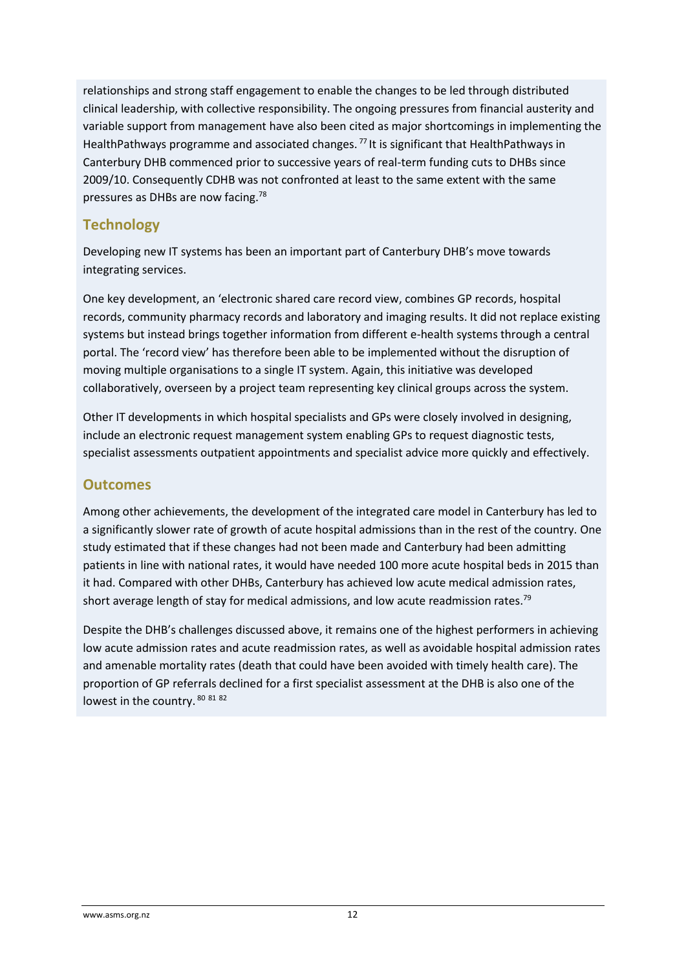relationships and strong staff engagement to enable the changes to be led through distributed clinical leadership, with collective responsibility. The ongoing pressures from financial austerity and variable support from management have also been cited as major shortcomings in implementing the HealthPathways programme and associated changes.<sup>77</sup> It is significant that HealthPathways in Canterbury DHB commenced prior to successive years of real-term funding cuts to DHBs since 2009/10. Consequently CDHB was not confronted at least to the same extent with the same pressures as DHBs are now facing.<sup>78</sup>

#### **Technology**

Developing new IT systems has been an important part of Canterbury DHB's move towards integrating services.

One key development, an 'electronic shared care record view, combines GP records, hospital records, community pharmacy records and laboratory and imaging results. It did not replace existing systems but instead brings together information from different e-health systems through a central portal. The 'record view' has therefore been able to be implemented without the disruption of moving multiple organisations to a single IT system. Again, this initiative was developed collaboratively, overseen by a project team representing key clinical groups across the system.

Other IT developments in which hospital specialists and GPs were closely involved in designing, include an electronic request management system enabling GPs to request diagnostic tests, specialist assessments outpatient appointments and specialist advice more quickly and effectively.

#### **Outcomes**

Among other achievements, the development of the integrated care model in Canterbury has led to a significantly slower rate of growth of acute hospital admissions than in the rest of the country. One study estimated that if these changes had not been made and Canterbury had been admitting patients in line with national rates, it would have needed 100 more acute hospital beds in 2015 than it had. Compared with other DHBs, Canterbury has achieved low acute medical admission rates, short average length of stay for medical admissions, and low acute readmission rates.<sup>79</sup>

Despite the DHB's challenges discussed above, it remains one of the highest performers in achieving low acute admission rates and acute readmission rates, as well as avoidable hospital admission rates and amenable mortality rates (death that could have been avoided with timely health care). The proportion of GP referrals declined for a first specialist assessment at the DHB is also one of the lowest in the country. 80 81 82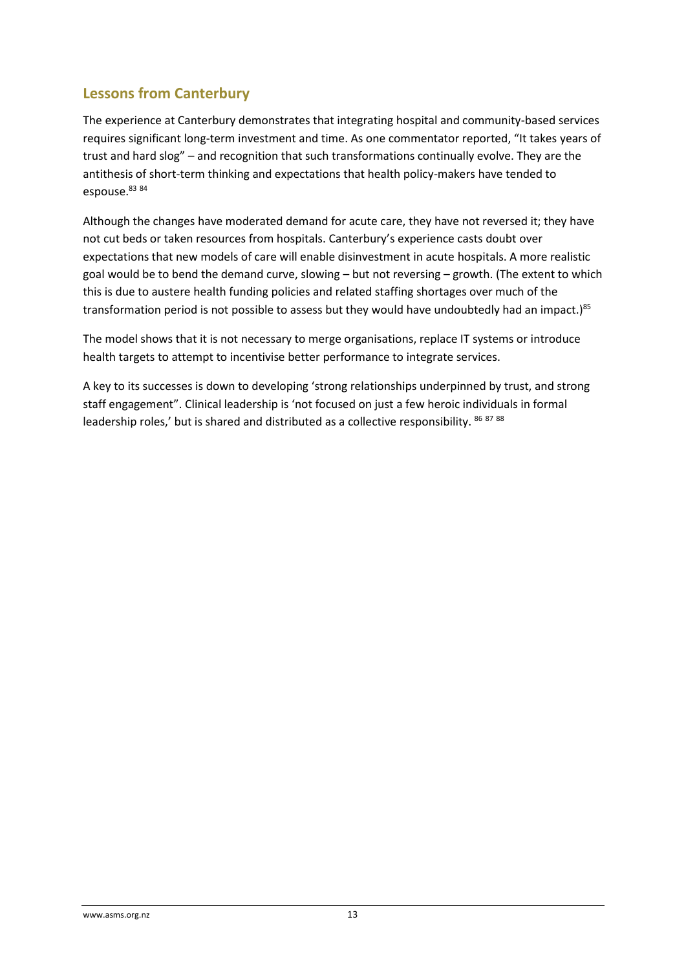## **Lessons from Canterbury**

The experience at Canterbury demonstrates that integrating hospital and community-based services requires significant long-term investment and time. As one commentator reported, "It takes years of trust and hard slog" – and recognition that such transformations continually evolve. They are the antithesis of short-term thinking and expectations that health policy-makers have tended to espouse.<sup>83</sup> 84

Although the changes have moderated demand for acute care, they have not reversed it; they have not cut beds or taken resources from hospitals. Canterbury's experience casts doubt over expectations that new models of care will enable disinvestment in acute hospitals. A more realistic goal would be to bend the demand curve, slowing – but not reversing – growth. (The extent to which this is due to austere health funding policies and related staffing shortages over much of the transformation period is not possible to assess but they would have undoubtedly had an impact.)<sup>85</sup>

The model shows that it is not necessary to merge organisations, replace IT systems or introduce health targets to attempt to incentivise better performance to integrate services.

A key to its successes is down to developing 'strong relationships underpinned by trust, and strong staff engagement". Clinical leadership is 'not focused on just a few heroic individuals in formal leadership roles,' but is shared and distributed as a collective responsibility. 86 87 88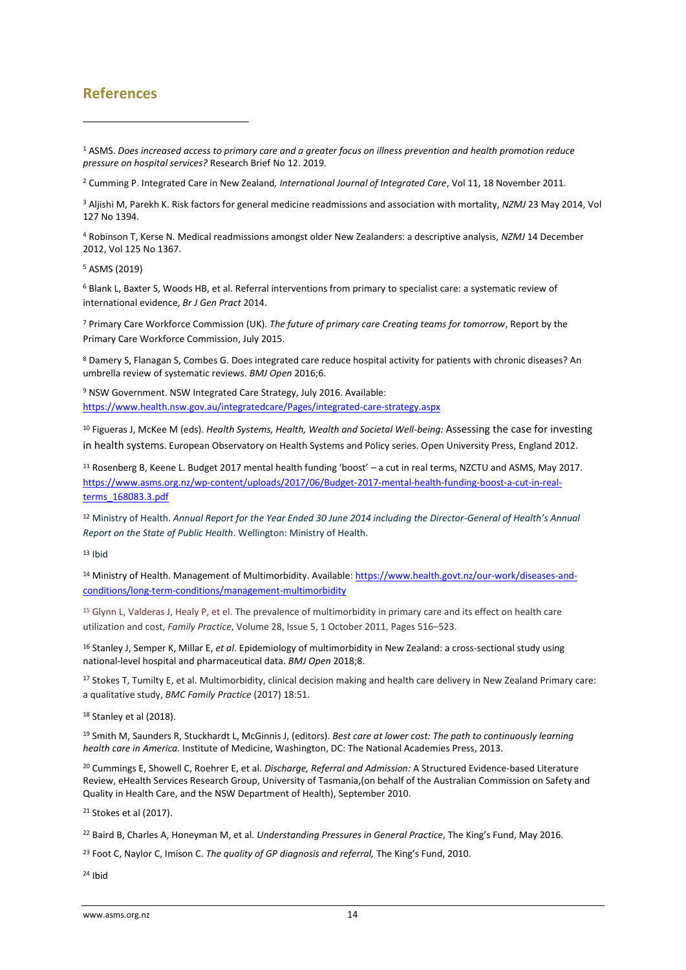#### **References**

1

<sup>1</sup> ASMS. *Does increased access to primary care and a greater focus on illness prevention and health promotion reduce pressure on hospital services?* Research Brief No 12. 2019.

<sup>2</sup> Cumming P. Integrated Care in New Zealand*, International Journal of Integrated Care*, Vol 11, 18 November 2011.

<sup>3</sup> Aljishi M, Parekh K. Risk factors for general medicine readmissions and association with mortality, *NZMJ* 23 May 2014, Vol 127 No 1394.

<sup>4</sup> Robinson T, Kerse N. Medical readmissions amongst older New Zealanders: a descriptive analysis, *NZMJ* 14 December 2012, Vol 125 No 1367.

<sup>5</sup> ASMS (2019)

<sup>6</sup> Blank L, Baxter S, Woods HB, et al. Referral interventions from primary to specialist care: a systematic review of international evidence, *Br J Gen Pract* 2014.

<sup>7</sup> Primary Care Workforce Commission (UK). *The future of primary care Creating teams for tomorrow*, Report by the Primary Care Workforce Commission, July 2015.

<sup>8</sup> Damery S, Flanagan S, Combes G. Does integrated care reduce hospital activity for patients with chronic diseases? An umbrella review of systematic reviews. *BMJ Open* 2016;6.

<sup>9</sup> NSW Government. NSW Integrated Care Strategy, July 2016. Available: <https://www.health.nsw.gov.au/integratedcare/Pages/integrated-care-strategy.aspx>

<sup>10</sup> Figueras J, McKee M (eds). *Health Systems, Health, Wealth and Societal Well-being:* Assessing the case for investing in health systems. European Observatory on Health Systems and Policy series. Open University Press, England 2012.

<sup>11</sup> Rosenberg B, Keene L. Budget 2017 mental health funding 'boost' – a cut in real terms, NZCTU and ASMS, May 2017. [https://www.asms.org.nz/wp-content/uploads/2017/06/Budget-2017-mental-health-funding-boost-a-cut-in-real](https://www.asms.org.nz/wp-content/uploads/2017/06/Budget-2017-mental-health-funding-boost-a-cut-in-real-terms_168083.3.pdf)[terms\\_168083.3.pdf](https://www.asms.org.nz/wp-content/uploads/2017/06/Budget-2017-mental-health-funding-boost-a-cut-in-real-terms_168083.3.pdf)

<sup>12</sup> Ministry of Health. *Annual Report for the Year Ended 30 June 2014 including the Director-General of Health's Annual Report on the State of Public Health*. Wellington: Ministry of Health.

 $13$  Ibid

<sup>14</sup> Ministry of Health. Management of Multimorbidity. Available[: https://www.health.govt.nz/our-work/diseases-and](https://www.health.govt.nz/our-work/diseases-and-conditions/long-term-conditions/management-multimorbidity)[conditions/long-term-conditions/management-multimorbidity](https://www.health.govt.nz/our-work/diseases-and-conditions/long-term-conditions/management-multimorbidity)

<sup>15</sup> Glynn L, Valderas J, Healy P, et el. The prevalence of multimorbidity in primary care and its effect on health care utilization and cost, *Family Practice*, Volume 28, Issue 5, 1 October 2011, Pages 516–523.

<sup>16</sup> Stanley J, Semper K, Millar E, *et al*. Epidemiology of multimorbidity in New Zealand: a cross-sectional study using national-level hospital and pharmaceutical data. *BMJ Open* 2018;8.

<sup>17</sup> Stokes T, Tumilty E, et al. Multimorbidity, clinical decision making and health care delivery in New Zealand Primary care: a qualitative study, *BMC Family Practice* (2017) 18:51.

<sup>18</sup> Stanley et al (2018).

<sup>19</sup> Smith M, Saunders R, Stuckhardt L, McGinnis J, (editors). *Best care at lower cost: The path to continuously learning health care in America.* Institute of Medicine, Washington, DC: The National Academies Press, 2013.

<sup>20</sup> Cummings E, Showell C, Roehrer E, et al. *Discharge, Referral and Admission:* A Structured Evidence-based Literature Review, eHealth Services Research Group, University of Tasmania,(on behalf of the Australian Commission on Safety and Quality in Health Care, and the NSW Department of Health), September 2010.

<sup>21</sup> Stokes et al (2017).

<sup>22</sup> Baird B, Charles A, Honeyman M, et al. *Understanding Pressures in General Practice*, The King's Fund, May 2016.

<sup>23</sup> Foot C, Naylor C, Imison C. *The quality of GP diagnosis and referral,* The King's Fund, 2010.

<sup>24</sup> Ibid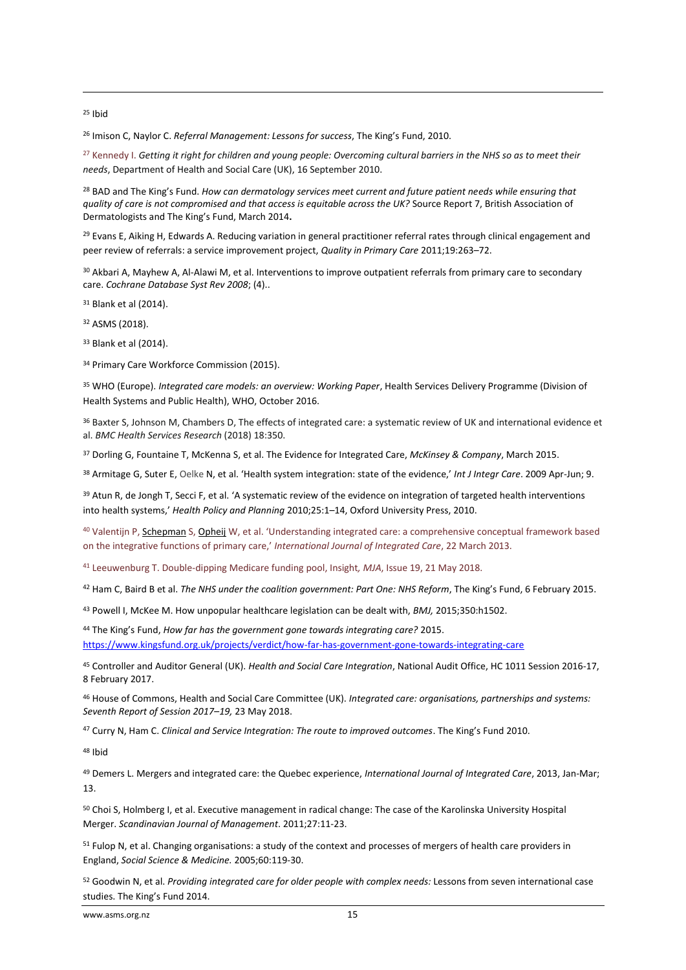$25$  Ibid

**.** 

<sup>26</sup> Imison C, Naylor C. *Referral Management: Lessons for success*, The King's Fund, 2010.

<sup>27</sup> Kennedy I. *Getting it right for children and young people: Overcoming cultural barriers in the NHS so as to meet their needs*, Department of Health and Social Care (UK), 16 September 2010.

<sup>28</sup> BAD and The King's Fund. *How can dermatology services meet current and future patient needs while ensuring that quality of care is not compromised and that access is equitable across the UK?* Source Report 7, British Association of Dermatologists and The King's Fund, March 2014**.**

<sup>29</sup> Evans E, Aiking H, Edwards A, Reducing variation in general practitioner referral rates through clinical engagement and peer review of referrals: a service improvement project, *Quality in Primary Care* 2011;19:263–72.

<sup>30</sup> Akbari A, Mayhew A, Al-Alawi M, et al. Interventions to improve outpatient referrals from primary care to secondary care. *Cochrane Database Syst Rev 2008*; (4)..

<sup>31</sup> Blank et al (2014).

<sup>32</sup> ASMS (2018).

<sup>33</sup> Blank et al (2014).

<sup>34</sup> Primary Care Workforce Commission (2015).

<sup>35</sup> WHO (Europe). *Integrated care models: an overview: Working Paper*, Health Services Delivery Programme (Division of Health Systems and Public Health), WHO, October 2016.

36 Baxter S, Johnson M, Chambers D, The effects of integrated care: a systematic review of UK and international evidence et al. *BMC Health Services Research* (2018) 18:350.

<sup>37</sup> Dorling G, Fountaine T, McKenna S, et al. The Evidence for Integrated Care, *McKinsey & Company*, March 2015.

<sup>38</sup> Armitage G, Suter E, Oelke N, et al. 'Health system integration: state of the evidence,' *Int J Integr Care*. 2009 Apr-Jun; 9.

39 Atun R, de Jongh T, Secci F, et al. 'A systematic review of the evidence on integration of targeted health interventions into health systems,' *Health Policy and Planning* 2010;25:1–14, Oxford University Press, 2010.

<sup>40</sup> Valentijn P[, Schepman](https://www.ncbi.nlm.nih.gov/pubmed/?term=Schepman%20SM%5BAuthor%5D&cauthor=true&cauthor_uid=23687482) S[, Opheij](https://www.ncbi.nlm.nih.gov/pubmed/?term=Opheij%20W%5BAuthor%5D&cauthor=true&cauthor_uid=23687482) W, et al. 'Understanding integrated care: a comprehensive conceptual framework based on the integrative functions of primary care,' *International Journal of Integrated Care*, 22 March 2013.

<sup>41</sup> Leeuwenburg T. Double-dipping Medicare funding pool, Insight*, MJA*, Issue 19, 21 May 2018.

<sup>42</sup> Ham C, Baird B et al. *The NHS under the coalition government: Part One: NHS Reform*, The King's Fund, 6 February 2015.

<sup>43</sup> Powell I, McKee M. How unpopular healthcare legislation can be dealt with, *BMJ,* 2015;350:h1502.

<sup>44</sup> The King's Fund, *How far has the government gone towards integrating care?* 2015. <https://www.kingsfund.org.uk/projects/verdict/how-far-has-government-gone-towards-integrating-care>

<sup>45</sup> Controller and Auditor General (UK). *Health and Social Care Integration*, National Audit Office, HC 1011 Session 2016-17, 8 February 2017.

<sup>46</sup> House of Commons, Health and Social Care Committee (UK). *Integrated care: organisations, partnerships and systems: Seventh Report of Session 2017–19,* 23 May 2018.

<sup>47</sup> Curry N, Ham C. *Clinical and Service Integration: The route to improved outcomes*. The King's Fund 2010.

<sup>48</sup> Ibid

<sup>49</sup> Demers L. Mergers and integrated care: the Quebec experience, *International Journal of Integrated Care*, 2013, Jan-Mar; 13.

<sup>50</sup> Choi S, Holmberg I, et al. Executive management in radical change: The case of the Karolinska University Hospital Merger. *Scandinavian Journal of Management*. 2011;27:11-23.

<sup>51</sup> Fulop N, et al. Changing organisations: a study of the context and processes of mergers of health care providers in England, *Social Science & Medicine.* 2005;60:119-30.

<sup>52</sup> Goodwin N, et al. *Providing integrated care for older people with complex needs:* Lessons from seven international case studies. The King's Fund 2014.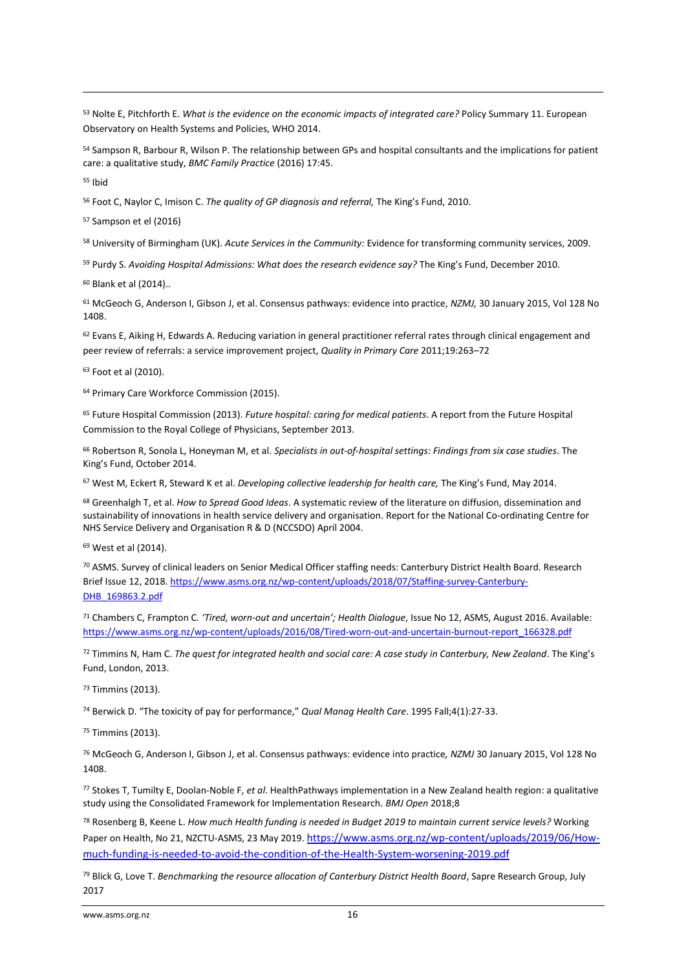<sup>53</sup> Nolte E, Pitchforth E. *What is the evidence on the economic impacts of integrated care?* Policy Summary 11. European Observatory on Health Systems and Policies, WHO 2014.

54 Sampson R, Barbour R, Wilson P. The relationship between GPs and hospital consultants and the implications for patient care: a qualitative study, *BMC Family Practice* (2016) 17:45.

<sup>55</sup> Ibid

**.** 

<sup>56</sup> Foot C, Naylor C, Imison C. *The quality of GP diagnosis and referral,* The King's Fund, 2010.

<sup>57</sup> Sampson et el (2016)

<sup>58</sup> University of Birmingham (UK). *Acute Services in the Community:* Evidence for transforming community services, 2009.

<sup>59</sup> Purdy S. *Avoiding Hospital Admissions: What does the research evidence say?* The King's Fund, December 2010.

<sup>60</sup> Blank et al (2014)..

<sup>61</sup> McGeoch G, Anderson I, Gibson J, et al. Consensus pathways: evidence into practice, *NZMJ,* 30 January 2015, Vol 128 No 1408.

62 Evans E, Aiking H, Edwards A. Reducing variation in general practitioner referral rates through clinical engagement and peer review of referrals: a service improvement project, *Quality in Primary Care* 2011;19:263–72

<sup>63</sup> Foot et al (2010).

<sup>64</sup> Primary Care Workforce Commission (2015).

<sup>65</sup> Future Hospital Commission (2013). *Future hospital: caring for medical patients*. A report from the Future Hospital Commission to the Royal College of Physicians, September 2013.

<sup>66</sup> Robertson R, Sonola L, Honeyman M, et al*. Specialists in out-of-hospital settings: Findings from six case studies*. The King's Fund, October 2014.

<sup>67</sup> West M, Eckert R, Steward K et al. *Developing collective leadership for health care,* The King's Fund, May 2014.

<sup>68</sup> Greenhalgh T, et al. *How to Spread Good Ideas*. A systematic review of the literature on diffusion, dissemination and sustainability of innovations in health service delivery and organisation. Report for the National Co-ordinating Centre for NHS Service Delivery and Organisation R & D (NCCSDO) April 2004.

<sup>69</sup> West et al (2014).

<sup>70</sup> ASMS. Survey of clinical leaders on Senior Medical Officer staffing needs: Canterbury District Health Board. Research Brief Issue 12, 2018. [https://www.asms.org.nz/wp-content/uploads/2018/07/Staffing-survey-Canterbury-](https://www.asms.org.nz/wp-content/uploads/2018/07/Staffing-survey-Canterbury-DHB_169863.2.pdf)DHB 169863.2.pdf

<sup>71</sup> Chambers C, Frampton C*. 'Tired, worn-out and uncertain'; Health Dialogue*, Issue No 12, ASMS, August 2016. Available: [https://www.asms.org.nz/wp-content/uploads/2016/08/Tired-worn-out-and-uncertain-burnout-report\\_166328.pdf](https://www.asms.org.nz/wp-content/uploads/2016/08/Tired-worn-out-and-uncertain-burnout-report_166328.pdf)

<sup>72</sup> Timmins N, Ham C. *The quest for integrated health and social care: A case study in Canterbury, New Zealand*. The King's Fund, London, 2013.

<sup>73</sup> Timmins (2013).

<sup>74</sup> Berwick D. "The toxicity of pay for performance," *Qual Manag Health Care*. 1995 Fall;4(1):27-33.

<sup>75</sup> Timmins (2013).

<sup>76</sup> McGeoch G, Anderson I, Gibson J, et al. Consensus pathways: evidence into practice*, NZMJ* 30 January 2015, Vol 128 No 1408.

<sup>77</sup> Stokes T, Tumilty E, Doolan-Noble F, *et al*. HealthPathways implementation in a New Zealand health region: a qualitative study using the Consolidated Framework for Implementation Research. *BMJ Open* 2018;8

<sup>78</sup> Rosenberg B, Keene L. *How much Health funding is needed in Budget 2019 to maintain current service levels?* Working Paper on Health, No 21, NZCTU-ASMS, 23 May 2019. [https://www.asms.org.nz/wp-content/uploads/2019/06/How](https://www.asms.org.nz/wp-content/uploads/2019/06/How-much-funding-is-needed-to-avoid-the-condition-of-the-Health-System-worsening-2019.pdf)[much-funding-is-needed-to-avoid-the-condition-of-the-Health-System-worsening-2019.pdf](https://www.asms.org.nz/wp-content/uploads/2019/06/How-much-funding-is-needed-to-avoid-the-condition-of-the-Health-System-worsening-2019.pdf)

<sup>79</sup> Blick G, Love T. *Benchmarking the resource allocation of Canterbury District Health Board*, Sapre Research Group, July 2017